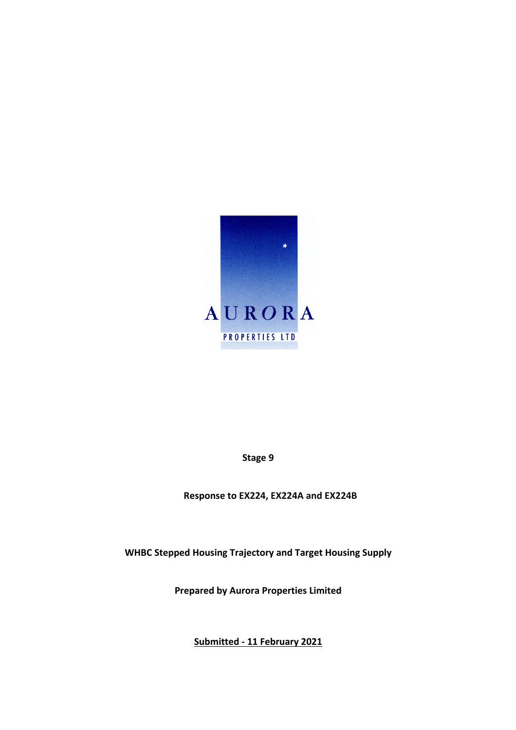

**Stage 9**

**Response to EX224, EX224A and EX224B**

**WHBC Stepped Housing Trajectory and Target Housing Supply**

**Prepared by Aurora Properties Limited**

**Submitted - 11 February 2021**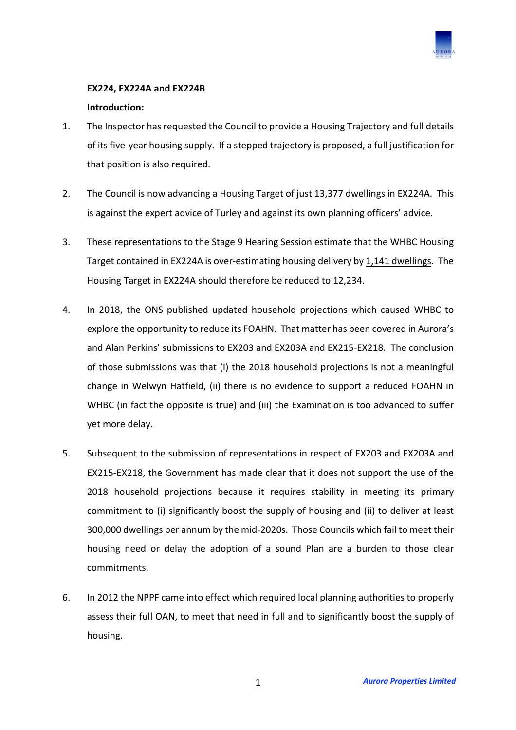

# **EX224, EX224A and EX224B**

## **Introduction:**

- 1. The Inspector has requested the Council to provide a Housing Trajectory and full details of its five-year housing supply. If a stepped trajectory is proposed, a full justification for that position is also required.
- 2. The Council is now advancing a Housing Target of just 13,377 dwellings in EX224A. This is against the expert advice of Turley and against its own planning officers' advice.
- 3. These representations to the Stage 9 Hearing Session estimate that the WHBC Housing Target contained in EX224A is over-estimating housing delivery by 1,141 dwellings. The Housing Target in EX224A should therefore be reduced to 12,234.
- 4. In 2018, the ONS published updated household projections which caused WHBC to explore the opportunity to reduce its FOAHN. That matter has been covered in Aurora's and Alan Perkins' submissions to EX203 and EX203A and EX215-EX218. The conclusion of those submissions was that (i) the 2018 household projections is not a meaningful change in Welwyn Hatfield, (ii) there is no evidence to support a reduced FOAHN in WHBC (in fact the opposite is true) and (iii) the Examination is too advanced to suffer yet more delay.
- 5. Subsequent to the submission of representations in respect of EX203 and EX203A and EX215-EX218, the Government has made clear that it does not support the use of the 2018 household projections because it requires stability in meeting its primary commitment to (i) significantly boost the supply of housing and (ii) to deliver at least 300,000 dwellings per annum by the mid-2020s. Those Councils which fail to meet their housing need or delay the adoption of a sound Plan are a burden to those clear commitments.
- 6. In 2012 the NPPF came into effect which required local planning authorities to properly assess their full OAN, to meet that need in full and to significantly boost the supply of housing.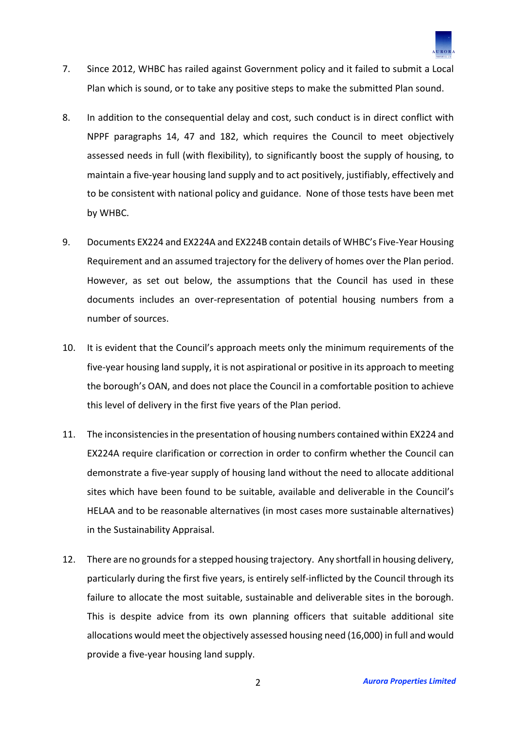

- 7. Since 2012, WHBC has railed against Government policy and it failed to submit a Local Plan which is sound, or to take any positive steps to make the submitted Plan sound.
- 8. In addition to the consequential delay and cost, such conduct is in direct conflict with NPPF paragraphs 14, 47 and 182, which requires the Council to meet objectively assessed needs in full (with flexibility), to significantly boost the supply of housing, to maintain a five-year housing land supply and to act positively, justifiably, effectively and to be consistent with national policy and guidance. None of those tests have been met by WHBC.
- 9. Documents EX224 and EX224A and EX224B contain details of WHBC's Five-Year Housing Requirement and an assumed trajectory for the delivery of homes over the Plan period. However, as set out below, the assumptions that the Council has used in these documents includes an over-representation of potential housing numbers from a number of sources.
- 10. It is evident that the Council's approach meets only the minimum requirements of the five-year housing land supply, it is not aspirational or positive in its approach to meeting the borough's OAN, and does not place the Council in a comfortable position to achieve this level of delivery in the first five years of the Plan period.
- 11. The inconsistencies in the presentation of housing numbers contained within EX224 and EX224A require clarification or correction in order to confirm whether the Council can demonstrate a five-year supply of housing land without the need to allocate additional sites which have been found to be suitable, available and deliverable in the Council's HELAA and to be reasonable alternatives (in most cases more sustainable alternatives) in the Sustainability Appraisal.
- 12. There are no grounds for a stepped housing trajectory. Any shortfall in housing delivery, particularly during the first five years, is entirely self-inflicted by the Council through its failure to allocate the most suitable, sustainable and deliverable sites in the borough. This is despite advice from its own planning officers that suitable additional site allocations would meet the objectively assessed housing need (16,000) in full and would provide a five-year housing land supply.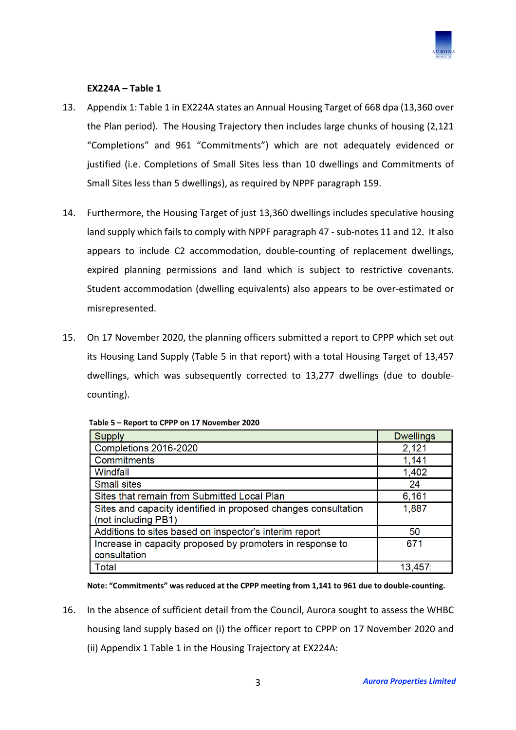

## **EX224A – Table 1**

- 13. Appendix 1: Table 1 in EX224A states an Annual Housing Target of 668 dpa (13,360 over the Plan period). The Housing Trajectory then includes large chunks of housing (2,121 "Completions" and 961 "Commitments") which are not adequately evidenced or justified (i.e. Completions of Small Sites less than 10 dwellings and Commitments of Small Sites less than 5 dwellings), as required by NPPF paragraph 159.
- 14. Furthermore, the Housing Target of just 13,360 dwellings includes speculative housing land supply which fails to comply with NPPF paragraph 47 - sub-notes 11 and 12. It also appears to include C2 accommodation, double-counting of replacement dwellings, expired planning permissions and land which is subject to restrictive covenants. Student accommodation (dwelling equivalents) also appears to be over-estimated or misrepresented.
- 15. On 17 November 2020, the planning officers submitted a report to CPPP which set out its Housing Land Supply (Table 5 in that report) with a total Housing Target of 13,457 dwellings, which was subsequently corrected to 13,277 dwellings (due to doublecounting).

| <b>Supply</b>                                                                         | <b>Dwellings</b> |
|---------------------------------------------------------------------------------------|------------------|
| Completions 2016-2020                                                                 | 2,121            |
| Commitments                                                                           | 1,141            |
| Windfall                                                                              | 1,402            |
| <b>Small sites</b>                                                                    | 24               |
| Sites that remain from Submitted Local Plan                                           | 6,161            |
| Sites and capacity identified in proposed changes consultation<br>(not including PB1) | 1,887            |
| Additions to sites based on inspector's interim report                                | 50               |
| Increase in capacity proposed by promoters in response to<br>consultation             | 671              |
| Total                                                                                 | 13,457           |

**Table 5 – Report to CPPP on 17 November 2020**

**Note: "Commitments" was reduced at the CPPP meeting from 1,141 to 961 due to double-counting.**

16. In the absence of sufficient detail from the Council, Aurora sought to assess the WHBC housing land supply based on (i) the officer report to CPPP on 17 November 2020 and (ii) Appendix 1 Table 1 in the Housing Trajectory at EX224A: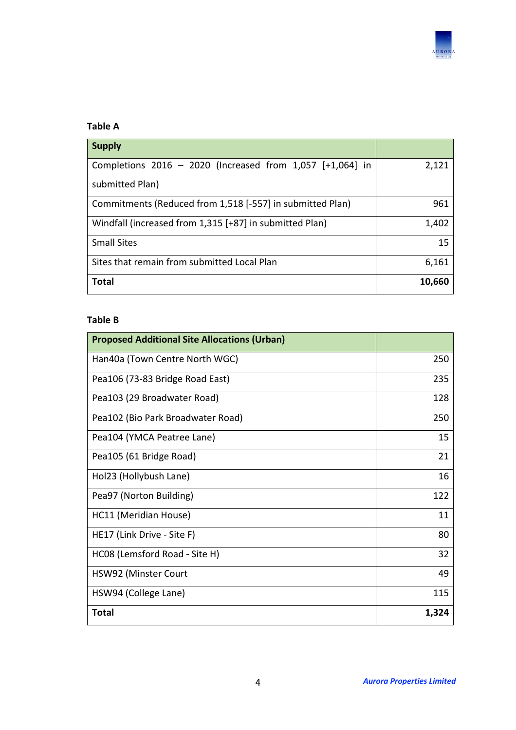

# **Table A**

| <b>Supply</b>                                             |        |
|-----------------------------------------------------------|--------|
| Completions 2016 - 2020 (Increased from 1,057 [+1,064] in | 2,121  |
| submitted Plan)                                           |        |
| Commitments (Reduced from 1,518 [-557] in submitted Plan) | 961    |
| Windfall (increased from 1,315 [+87] in submitted Plan)   | 1,402  |
| <b>Small Sites</b>                                        | 15     |
| Sites that remain from submitted Local Plan               | 6,161  |
| Total                                                     | 10,660 |

# **Table B**

| <b>Proposed Additional Site Allocations (Urban)</b> |       |
|-----------------------------------------------------|-------|
| Han40a (Town Centre North WGC)                      | 250   |
| Pea106 (73-83 Bridge Road East)                     | 235   |
| Pea103 (29 Broadwater Road)                         | 128   |
| Pea102 (Bio Park Broadwater Road)                   | 250   |
| Pea104 (YMCA Peatree Lane)                          | 15    |
| Pea105 (61 Bridge Road)                             | 21    |
| Hol23 (Hollybush Lane)                              | 16    |
| Pea97 (Norton Building)                             | 122   |
| HC11 (Meridian House)                               | 11    |
| HE17 (Link Drive - Site F)                          | 80    |
| HC08 (Lemsford Road - Site H)                       | 32    |
| HSW92 (Minster Court                                | 49    |
| HSW94 (College Lane)                                | 115   |
| <b>Total</b>                                        | 1,324 |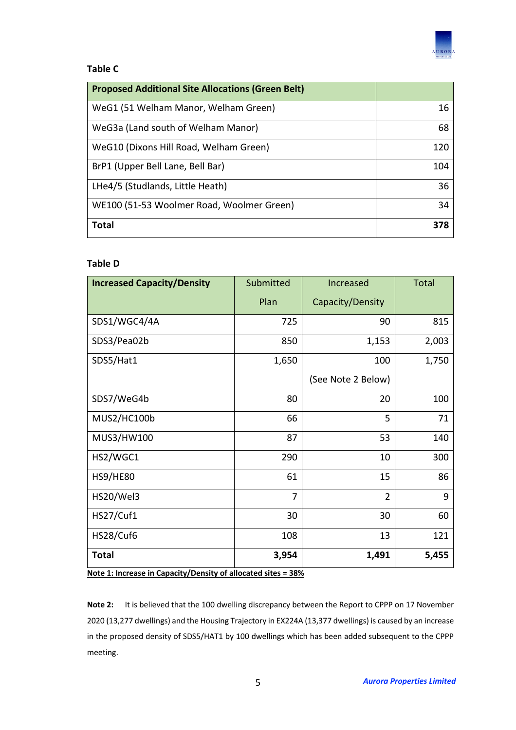

# **Table C**

| <b>Proposed Additional Site Allocations (Green Belt)</b> |     |
|----------------------------------------------------------|-----|
| WeG1 (51 Welham Manor, Welham Green)                     | 16  |
| WeG3a (Land south of Welham Manor)                       | 68  |
| WeG10 (Dixons Hill Road, Welham Green)                   | 120 |
| BrP1 (Upper Bell Lane, Bell Bar)                         | 104 |
| LHe4/5 (Studlands, Little Heath)                         | 36  |
| WE100 (51-53 Woolmer Road, Woolmer Green)                | 34  |
| <b>Total</b>                                             | 378 |

# **Table D**

| <b>Increased Capacity/Density</b> | Submitted | Increased          | <b>Total</b> |
|-----------------------------------|-----------|--------------------|--------------|
|                                   | Plan      | Capacity/Density   |              |
| SDS1/WGC4/4A                      | 725       | 90                 | 815          |
| SDS3/Pea02b                       | 850       | 1,153              | 2,003        |
| SDS5/Hat1                         | 1,650     | 100                | 1,750        |
|                                   |           | (See Note 2 Below) |              |
| SDS7/WeG4b                        | 80        | 20                 | 100          |
| MUS2/HC100b                       | 66        | 5                  | 71           |
| MUS3/HW100                        | 87        | 53                 | 140          |
| HS2/WGC1                          | 290       | 10                 | 300          |
| <b>HS9/HE80</b>                   | 61        | 15                 | 86           |
| HS20/Wel3                         | 7         | $\overline{2}$     | 9            |
| <b>HS27/Cuf1</b>                  | 30        | 30                 | 60           |
| HS28/Cuf6                         | 108       | 13                 | 121          |
| <b>Total</b>                      | 3,954     | 1,491              | 5,455        |

**Note 1: Increase in Capacity/Density of allocated sites = 38%**

**Note 2:** It is believed that the 100 dwelling discrepancy between the Report to CPPP on 17 November 2020 (13,277 dwellings) and the Housing Trajectory in EX224A (13,377 dwellings) is caused by an increase in the proposed density of SDS5/HAT1 by 100 dwellings which has been added subsequent to the CPPP meeting.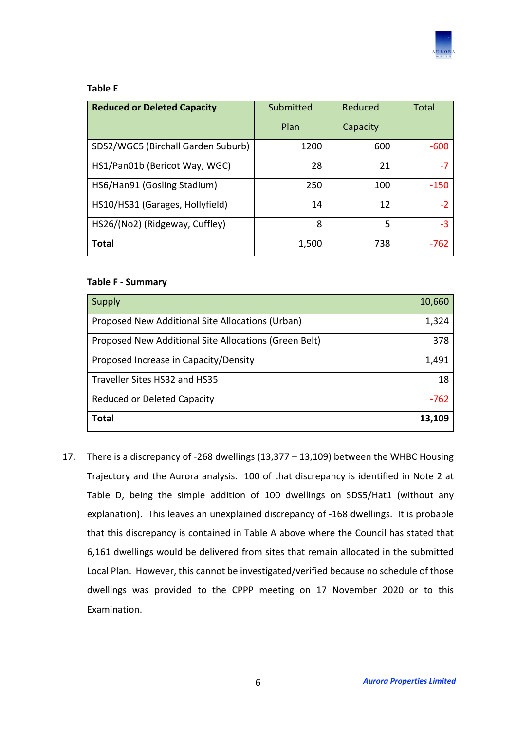

#### **Table E**

| <b>Reduced or Deleted Capacity</b> | Submitted | Reduced  | Total  |
|------------------------------------|-----------|----------|--------|
|                                    | Plan      | Capacity |        |
| SDS2/WGC5 (Birchall Garden Suburb) | 1200      | 600      | $-600$ |
| HS1/Pan01b (Bericot Way, WGC)      | 28        | 21       | $-7$   |
| HS6/Han91 (Gosling Stadium)        | 250       | 100      | $-150$ |
| HS10/HS31 (Garages, Hollyfield)    | 14        | 12       | $-2$   |
| HS26/(No2) (Ridgeway, Cuffley)     | 8         | 5        | $-3$   |
| <b>Total</b>                       | 1,500     | 738      | -762   |

#### **Table F - Summary**

| Supply                                                | 10,660 |
|-------------------------------------------------------|--------|
| Proposed New Additional Site Allocations (Urban)      | 1,324  |
| Proposed New Additional Site Allocations (Green Belt) | 378    |
| Proposed Increase in Capacity/Density                 | 1,491  |
| Traveller Sites HS32 and HS35                         | 18     |
| <b>Reduced or Deleted Capacity</b>                    | $-762$ |
| Total                                                 | 13,109 |

17. There is a discrepancy of -268 dwellings (13,377 – 13,109) between the WHBC Housing Trajectory and the Aurora analysis. 100 of that discrepancy is identified in Note 2 at Table D, being the simple addition of 100 dwellings on SDS5/Hat1 (without any explanation). This leaves an unexplained discrepancy of -168 dwellings. It is probable that this discrepancy is contained in Table A above where the Council has stated that 6,161 dwellings would be delivered from sites that remain allocated in the submitted Local Plan. However, this cannot be investigated/verified because no schedule of those dwellings was provided to the CPPP meeting on 17 November 2020 or to this Examination.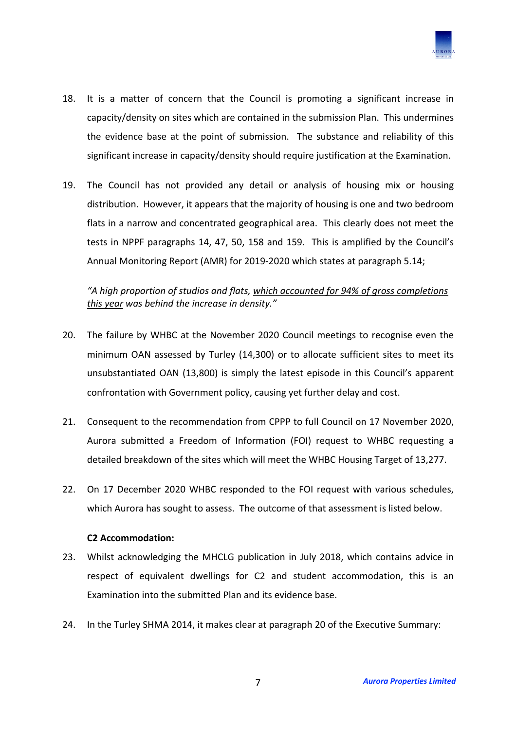

- 18. It is a matter of concern that the Council is promoting a significant increase in capacity/density on sites which are contained in the submission Plan. This undermines the evidence base at the point of submission. The substance and reliability of this significant increase in capacity/density should require justification at the Examination.
- 19. The Council has not provided any detail or analysis of housing mix or housing distribution. However, it appears that the majority of housing is one and two bedroom flats in a narrow and concentrated geographical area. This clearly does not meet the tests in NPPF paragraphs 14, 47, 50, 158 and 159. This is amplified by the Council's Annual Monitoring Report (AMR) for 2019-2020 which states at paragraph 5.14;

*"A high proportion of studios and flats, which accounted for 94% of gross completions this year was behind the increase in density."*

- 20. The failure by WHBC at the November 2020 Council meetings to recognise even the minimum OAN assessed by Turley (14,300) or to allocate sufficient sites to meet its unsubstantiated OAN (13,800) is simply the latest episode in this Council's apparent confrontation with Government policy, causing yet further delay and cost.
- 21. Consequent to the recommendation from CPPP to full Council on 17 November 2020, Aurora submitted a Freedom of Information (FOI) request to WHBC requesting a detailed breakdown of the sites which will meet the WHBC Housing Target of 13,277.
- 22. On 17 December 2020 WHBC responded to the FOI request with various schedules, which Aurora has sought to assess. The outcome of that assessment is listed below.

#### **C2 Accommodation:**

- 23. Whilst acknowledging the MHCLG publication in July 2018, which contains advice in respect of equivalent dwellings for C2 and student accommodation, this is an Examination into the submitted Plan and its evidence base.
- 24. In the Turley SHMA 2014, it makes clear at paragraph 20 of the Executive Summary: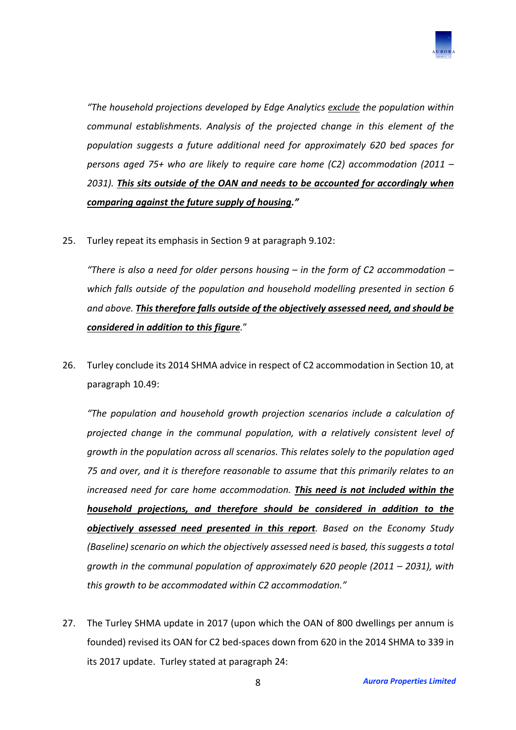

*"The household projections developed by Edge Analytics exclude the population within communal establishments. Analysis of the projected change in this element of the population suggests a future additional need for approximately 620 bed spaces for persons aged 75+ who are likely to require care home (C2) accommodation (2011 – 2031). This sits outside of the OAN and needs to be accounted for accordingly when comparing against the future supply of housing."*

25. Turley repeat its emphasis in Section 9 at paragraph 9.102:

*"There is also a need for older persons housing – in the form of C2 accommodation – which falls outside of the population and household modelling presented in section 6 and above. This therefore falls outside of the objectively assessed need, and should be considered in addition to this figure.*"

26. Turley conclude its 2014 SHMA advice in respect of C2 accommodation in Section 10, at paragraph 10.49:

*"The population and household growth projection scenarios include a calculation of projected change in the communal population, with a relatively consistent level of growth in the population across all scenarios. This relates solely to the population aged 75 and over, and it is therefore reasonable to assume that this primarily relates to an increased need for care home accommodation. This need is not included within the household projections, and therefore should be considered in addition to the objectively assessed need presented in this report. Based on the Economy Study (Baseline) scenario on which the objectively assessed need is based, this suggests a total growth in the communal population of approximately 620 people (2011 – 2031), with this growth to be accommodated within C2 accommodation."*

27. The Turley SHMA update in 2017 (upon which the OAN of 800 dwellings per annum is founded) revised its OAN for C2 bed-spaces down from 620 in the 2014 SHMA to 339 in its 2017 update. Turley stated at paragraph 24: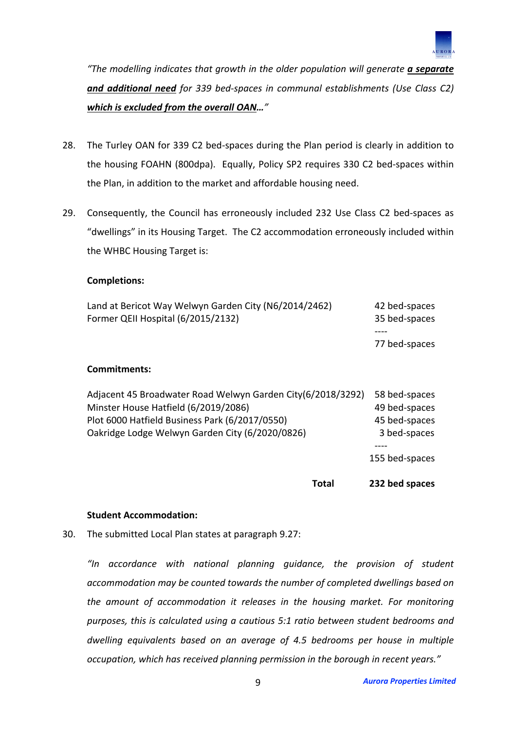

*"The modelling indicates that growth in the older population will generate a separate and additional need for 339 bed-spaces in communal establishments (Use Class C2) which is excluded from the overall OAN…"*

- 28. The Turley OAN for 339 C2 bed-spaces during the Plan period is clearly in addition to the housing FOAHN (800dpa). Equally, Policy SP2 requires 330 C2 bed-spaces within the Plan, in addition to the market and affordable housing need.
- 29. Consequently, the Council has erroneously included 232 Use Class C2 bed-spaces as "dwellings" in its Housing Target. The C2 accommodation erroneously included within the WHBC Housing Target is:

#### **Completions:**

| Oakridge Lodge Welwyn Garden City (6/2020/0826)                                                     | 3 bed-spaces                           |
|-----------------------------------------------------------------------------------------------------|----------------------------------------|
| Plot 6000 Hatfield Business Park (6/2017/0550)                                                      | 45 bed-spaces                          |
| Adjacent 45 Broadwater Road Welwyn Garden City(6/2018/3292)<br>Minster House Hatfield (6/2019/2086) | 58 bed-spaces<br>49 bed-spaces         |
| Commitments:                                                                                        |                                        |
|                                                                                                     | 77 bed-spaces                          |
| Land at Bericot Way Welwyn Garden City (N6/2014/2462)<br>Former QEII Hospital (6/2015/2132)         | 42 bed-spaces<br>35 bed-spaces<br>---- |

#### **Student Accommodation:**

30. The submitted Local Plan states at paragraph 9.27:

*"In accordance with national planning guidance, the provision of student accommodation may be counted towards the number of completed dwellings based on the amount of accommodation it releases in the housing market. For monitoring purposes, this is calculated using a cautious 5:1 ratio between student bedrooms and dwelling equivalents based on an average of 4.5 bedrooms per house in multiple occupation, which has received planning permission in the borough in recent years."*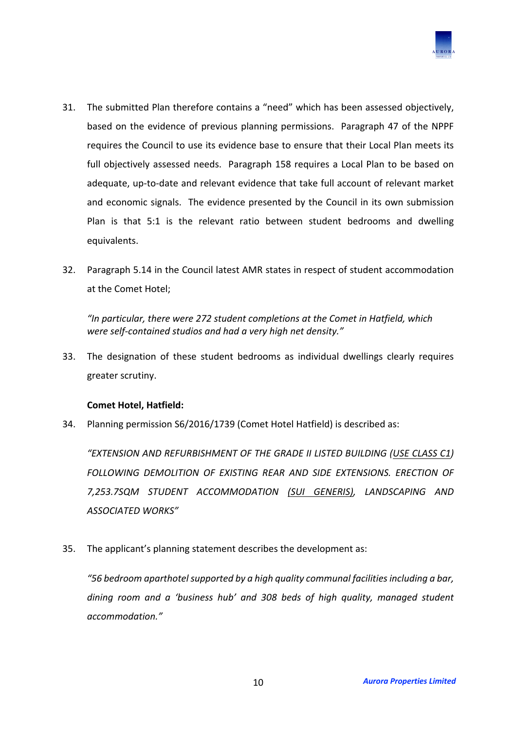

- 31. The submitted Plan therefore contains a "need" which has been assessed objectively, based on the evidence of previous planning permissions. Paragraph 47 of the NPPF requires the Council to use its evidence base to ensure that their Local Plan meets its full objectively assessed needs. Paragraph 158 requires a Local Plan to be based on adequate, up-to-date and relevant evidence that take full account of relevant market and economic signals. The evidence presented by the Council in its own submission Plan is that 5:1 is the relevant ratio between student bedrooms and dwelling equivalents.
- 32. Paragraph 5.14 in the Council latest AMR states in respect of student accommodation at the Comet Hotel;

*"In particular, there were 272 student completions at the Comet in Hatfield, which were self-contained studios and had a very high net density."*

33. The designation of these student bedrooms as individual dwellings clearly requires greater scrutiny.

## **Comet Hotel, Hatfield:**

34. Planning permission S6/2016/1739 (Comet Hotel Hatfield) is described as:

*"EXTENSION AND REFURBISHMENT OF THE GRADE II LISTED BUILDING (USE CLASS C1) FOLLOWING DEMOLITION OF EXISTING REAR AND SIDE EXTENSIONS. ERECTION OF 7,253.7SQM STUDENT ACCOMMODATION (SUI GENERIS), LANDSCAPING AND ASSOCIATED WORKS"*

35. The applicant's planning statement describes the development as:

*"56 bedroom aparthotel supported by a high quality communal facilities including a bar, dining room and a 'business hub' and 308 beds of high quality, managed student accommodation."*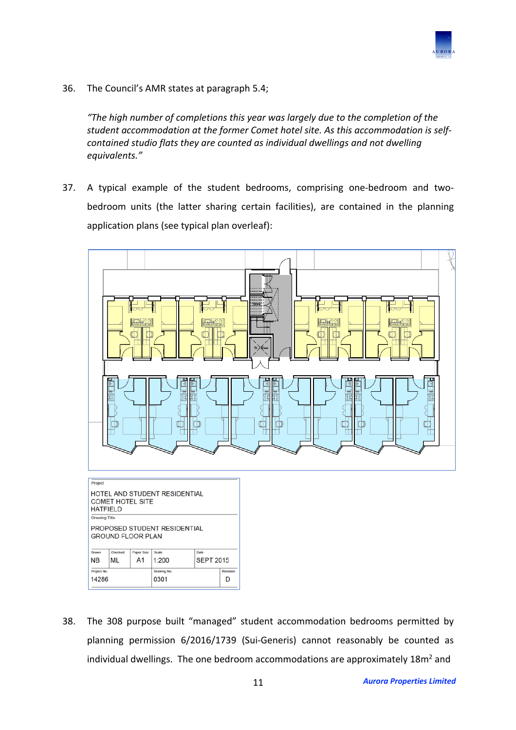

36. The Council's AMR states at paragraph 5.4;

*"The high number of completions this year was largely due to the completion of the student accommodation at the former Comet hotel site. As this accommodation is selfcontained studio flats they are counted as individual dwellings and not dwelling equivalents."*

37. A typical example of the student bedrooms, comprising one-bedroom and twobedroom units (the latter sharing certain facilities), are contained in the planning application plans (see typical plan overleaf):



38. The 308 purpose built "managed" student accommodation bedrooms permitted by planning permission 6/2016/1739 (Sui-Generis) cannot reasonably be counted as individual dwellings. The one bedroom accommodations are approximately  $18m^2$  and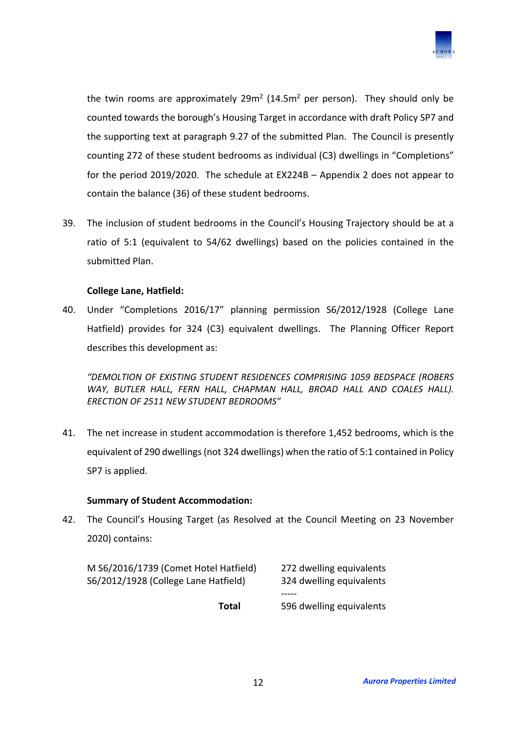

the twin rooms are approximately  $29m^2$  (14.5m<sup>2</sup> per person). They should only be counted towards the borough's Housing Target in accordance with draft Policy SP7 and the supporting text at paragraph 9.27 of the submitted Plan. The Council is presently counting 272 of these student bedrooms as individual (C3) dwellings in "Completions" for the period 2019/2020. The schedule at EX224B – Appendix 2 does not appear to contain the balance (36) of these student bedrooms.

39. The inclusion of student bedrooms in the Council's Housing Trajectory should be at a ratio of 5:1 (equivalent to 54/62 dwellings) based on the policies contained in the submitted Plan.

## **College Lane, Hatfield:**

40. Under "Completions 2016/17" planning permission S6/2012/1928 (College Lane Hatfield) provides for 324 (C3) equivalent dwellings. The Planning Officer Report describes this development as:

*"DEMOLTION OF EXISTING STUDENT RESIDENCES COMPRISING 1059 BEDSPACE (ROBERS*  WAY, BUTLER HALL, FERN HALL, CHAPMAN HALL, BROAD HALL AND COALES HALL). *ERECTION OF 2511 NEW STUDENT BEDROOMS"*

41. The net increase in student accommodation is therefore 1,452 bedrooms, which is the equivalent of 290 dwellings (not 324 dwellings) when the ratio of 5:1 contained in Policy SP7 is applied.

## **Summary of Student Accommodation:**

42. The Council's Housing Target (as Resolved at the Council Meeting on 23 November 2020) contains:

| M S6/2016/1739 (Comet Hotel Hatfield) | 272 dwelling equivalents |
|---------------------------------------|--------------------------|
| S6/2012/1928 (College Lane Hatfield)  | 324 dwelling equivalents |
|                                       |                          |
| Total                                 | 596 dwelling equivalents |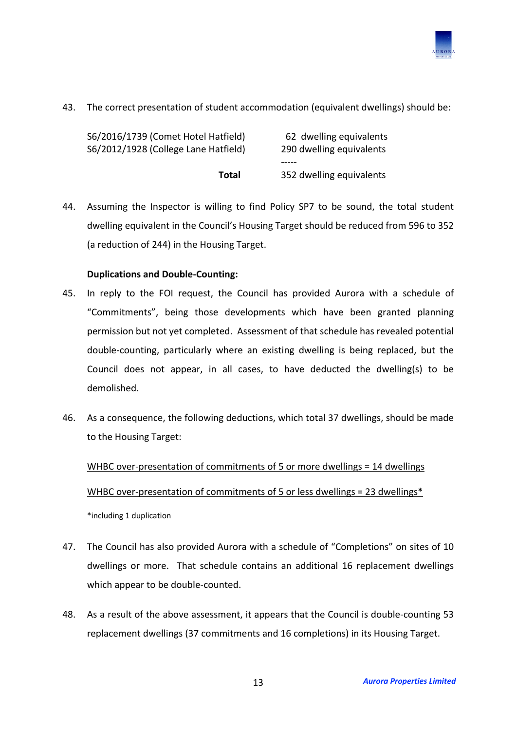

43. The correct presentation of student accommodation (equivalent dwellings) should be:

| S6/2016/1739 (Comet Hotel Hatfield)<br>S6/2012/1928 (College Lane Hatfield) | 62 dwelling equivalents<br>290 dwelling equivalents |
|-----------------------------------------------------------------------------|-----------------------------------------------------|
|                                                                             |                                                     |
| Total                                                                       | 352 dwelling equivalents                            |

44. Assuming the Inspector is willing to find Policy SP7 to be sound, the total student dwelling equivalent in the Council's Housing Target should be reduced from 596 to 352 (a reduction of 244) in the Housing Target.

# **Duplications and Double-Counting:**

- 45. In reply to the FOI request, the Council has provided Aurora with a schedule of "Commitments", being those developments which have been granted planning permission but not yet completed. Assessment of that schedule has revealed potential double-counting, particularly where an existing dwelling is being replaced, but the Council does not appear, in all cases, to have deducted the dwelling(s) to be demolished.
- 46. As a consequence, the following deductions, which total 37 dwellings, should be made to the Housing Target:

WHBC over-presentation of commitments of 5 or more dwellings = 14 dwellings WHBC over-presentation of commitments of 5 or less dwellings = 23 dwellings\* \*including 1 duplication

- 47. The Council has also provided Aurora with a schedule of "Completions" on sites of 10 dwellings or more. That schedule contains an additional 16 replacement dwellings which appear to be double-counted.
- 48. As a result of the above assessment, it appears that the Council is double-counting 53 replacement dwellings (37 commitments and 16 completions) in its Housing Target.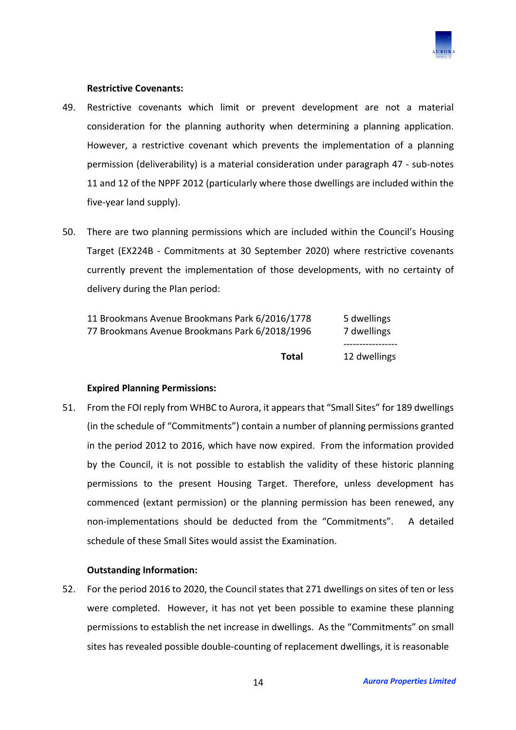

#### **Restrictive Covenants:**

- 49. Restrictive covenants which limit or prevent development are not a material consideration for the planning authority when determining a planning application. However, a restrictive covenant which prevents the implementation of a planning permission (deliverability) is a material consideration under paragraph 47 - sub-notes 11 and 12 of the NPPF 2012 (particularly where those dwellings are included within the five-year land supply).
- 50. There are two planning permissions which are included within the Council's Housing Target (EX224B - Commitments at 30 September 2020) where restrictive covenants currently prevent the implementation of those developments, with no certainty of delivery during the Plan period:

| Total                                          | 12 dwellings |
|------------------------------------------------|--------------|
| 77 Brookmans Avenue Brookmans Park 6/2018/1996 | 7 dwellings  |
| 11 Brookmans Avenue Brookmans Park 6/2016/1778 | 5 dwellings  |

## **Expired Planning Permissions:**

51. From the FOI reply from WHBC to Aurora, it appears that "Small Sites" for 189 dwellings (in the schedule of "Commitments") contain a number of planning permissions granted in the period 2012 to 2016, which have now expired. From the information provided by the Council, it is not possible to establish the validity of these historic planning permissions to the present Housing Target. Therefore, unless development has commenced (extant permission) or the planning permission has been renewed, any non-implementations should be deducted from the "Commitments". A detailed schedule of these Small Sites would assist the Examination.

## **Outstanding Information:**

52. For the period 2016 to 2020, the Council states that 271 dwellings on sites of ten or less were completed. However, it has not yet been possible to examine these planning permissions to establish the net increase in dwellings. As the "Commitments" on small sites has revealed possible double-counting of replacement dwellings, it is reasonable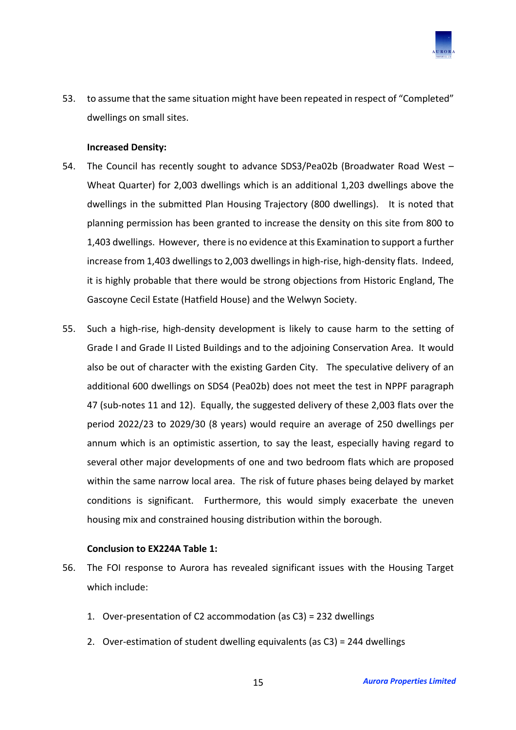

53. to assume that the same situation might have been repeated in respect of "Completed" dwellings on small sites.

#### **Increased Density:**

- 54. The Council has recently sought to advance SDS3/Pea02b (Broadwater Road West Wheat Quarter) for 2,003 dwellings which is an additional 1,203 dwellings above the dwellings in the submitted Plan Housing Trajectory (800 dwellings). It is noted that planning permission has been granted to increase the density on this site from 800 to 1,403 dwellings. However, there is no evidence at this Examination to support a further increase from 1,403 dwellings to 2,003 dwellings in high-rise, high-density flats. Indeed, it is highly probable that there would be strong objections from Historic England, The Gascoyne Cecil Estate (Hatfield House) and the Welwyn Society.
- 55. Such a high-rise, high-density development is likely to cause harm to the setting of Grade I and Grade II Listed Buildings and to the adjoining Conservation Area. It would also be out of character with the existing Garden City. The speculative delivery of an additional 600 dwellings on SDS4 (Pea02b) does not meet the test in NPPF paragraph 47 (sub-notes 11 and 12). Equally, the suggested delivery of these 2,003 flats over the period 2022/23 to 2029/30 (8 years) would require an average of 250 dwellings per annum which is an optimistic assertion, to say the least, especially having regard to several other major developments of one and two bedroom flats which are proposed within the same narrow local area. The risk of future phases being delayed by market conditions is significant. Furthermore, this would simply exacerbate the uneven housing mix and constrained housing distribution within the borough.

## **Conclusion to EX224A Table 1:**

- 56. The FOI response to Aurora has revealed significant issues with the Housing Target which include:
	- 1. Over-presentation of C2 accommodation (as C3) = 232 dwellings
	- 2. Over-estimation of student dwelling equivalents (as C3) = 244 dwellings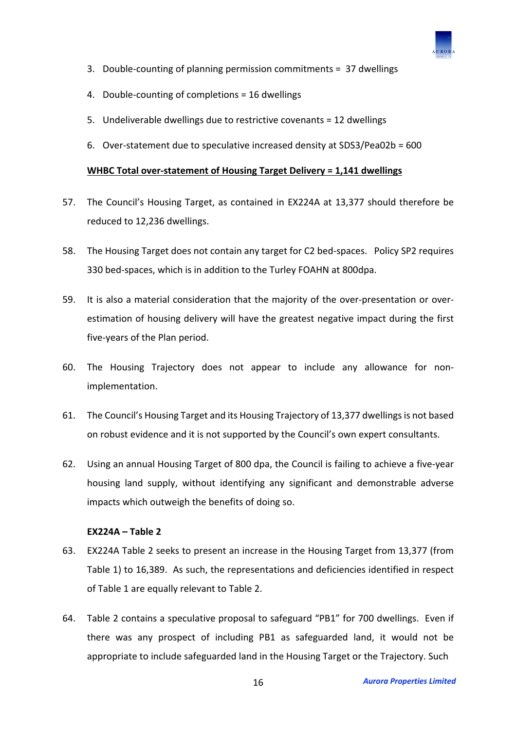

- 3. Double-counting of planning permission commitments = 37 dwellings
- 4. Double-counting of completions = 16 dwellings
- 5. Undeliverable dwellings due to restrictive covenants = 12 dwellings
- 6. Over-statement due to speculative increased density at SDS3/Pea02b = 600

## **WHBC Total over-statement of Housing Target Delivery = 1,141 dwellings**

- 57. The Council's Housing Target, as contained in EX224A at 13,377 should therefore be reduced to 12,236 dwellings.
- 58. The Housing Target does not contain any target for C2 bed-spaces. Policy SP2 requires 330 bed-spaces, which is in addition to the Turley FOAHN at 800dpa.
- 59. It is also a material consideration that the majority of the over-presentation or overestimation of housing delivery will have the greatest negative impact during the first five-years of the Plan period.
- 60. The Housing Trajectory does not appear to include any allowance for nonimplementation.
- 61. The Council's Housing Target and its Housing Trajectory of 13,377 dwellings is not based on robust evidence and it is not supported by the Council's own expert consultants.
- 62. Using an annual Housing Target of 800 dpa, the Council is failing to achieve a five-year housing land supply, without identifying any significant and demonstrable adverse impacts which outweigh the benefits of doing so.

## **EX224A – Table 2**

- 63. EX224A Table 2 seeks to present an increase in the Housing Target from 13,377 (from Table 1) to 16,389. As such, the representations and deficiencies identified in respect of Table 1 are equally relevant to Table 2.
- 64. Table 2 contains a speculative proposal to safeguard "PB1" for 700 dwellings. Even if there was any prospect of including PB1 as safeguarded land, it would not be appropriate to include safeguarded land in the Housing Target or the Trajectory. Such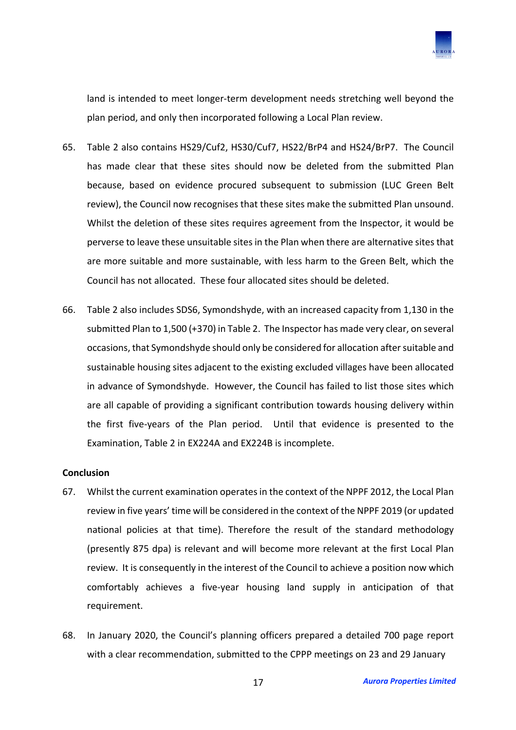

land is intended to meet longer-term development needs stretching well beyond the plan period, and only then incorporated following a Local Plan review.

- 65. Table 2 also contains HS29/Cuf2, HS30/Cuf7, HS22/BrP4 and HS24/BrP7. The Council has made clear that these sites should now be deleted from the submitted Plan because, based on evidence procured subsequent to submission (LUC Green Belt review), the Council now recognises that these sites make the submitted Plan unsound. Whilst the deletion of these sites requires agreement from the Inspector, it would be perverse to leave these unsuitable sites in the Plan when there are alternative sites that are more suitable and more sustainable, with less harm to the Green Belt, which the Council has not allocated. These four allocated sites should be deleted.
- 66. Table 2 also includes SDS6, Symondshyde, with an increased capacity from 1,130 in the submitted Plan to 1,500 (+370) in Table 2. The Inspector has made very clear, on several occasions, that Symondshyde should only be considered for allocation after suitable and sustainable housing sites adjacent to the existing excluded villages have been allocated in advance of Symondshyde. However, the Council has failed to list those sites which are all capable of providing a significant contribution towards housing delivery within the first five-years of the Plan period. Until that evidence is presented to the Examination, Table 2 in EX224A and EX224B is incomplete.

#### **Conclusion**

- 67. Whilst the current examination operates in the context of the NPPF 2012, the Local Plan review in five years' time will be considered in the context of the NPPF 2019 (or updated national policies at that time). Therefore the result of the standard methodology (presently 875 dpa) is relevant and will become more relevant at the first Local Plan review. It is consequently in the interest of the Council to achieve a position now which comfortably achieves a five-year housing land supply in anticipation of that requirement.
- 68. In January 2020, the Council's planning officers prepared a detailed 700 page report with a clear recommendation, submitted to the CPPP meetings on 23 and 29 January